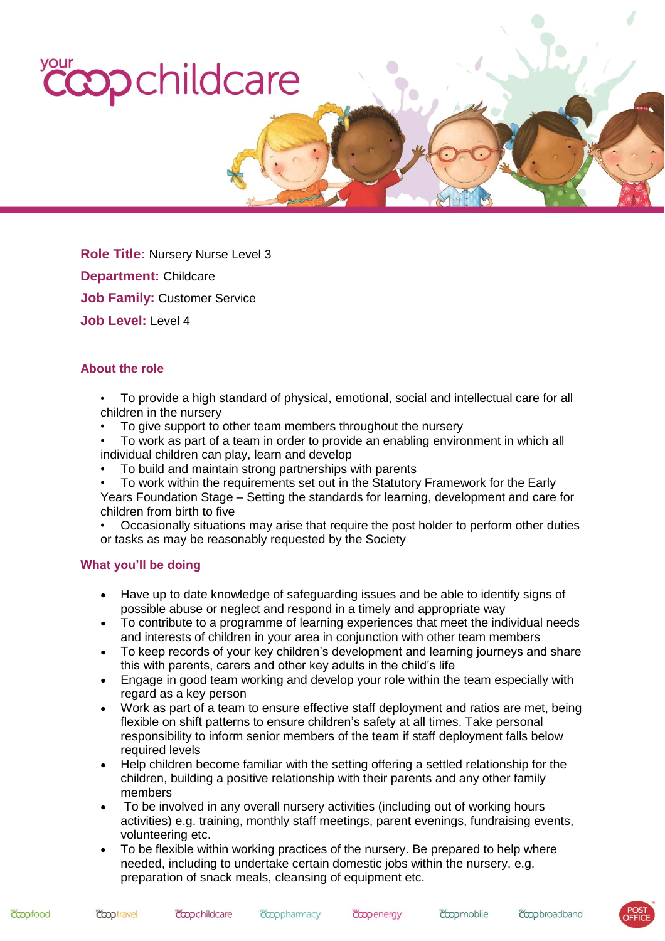# your copchildcare

**Role Title:** Nursery Nurse Level 3 **Department:** Childcare **Job Family:** Customer Service **Job Level:** Level 4

# **About the role**

- To provide a high standard of physical, emotional, social and intellectual care for all children in the nursery
- To give support to other team members throughout the nursery
- To work as part of a team in order to provide an enabling environment in which all individual children can play, learn and develop
- To build and maintain strong partnerships with parents
- To work within the requirements set out in the Statutory Framework for the Early Years Foundation Stage – Setting the standards for learning, development and care for children from birth to five
- Occasionally situations may arise that require the post holder to perform other duties or tasks as may be reasonably requested by the Society

### **What you'll be doing**

- Have up to date knowledge of safeguarding issues and be able to identify signs of possible abuse or neglect and respond in a timely and appropriate way
- To contribute to a programme of learning experiences that meet the individual needs and interests of children in your area in conjunction with other team members
- To keep records of your key children's development and learning journeys and share this with parents, carers and other key adults in the child's life
- Engage in good team working and develop your role within the team especially with regard as a key person
- Work as part of a team to ensure effective staff deployment and ratios are met, being flexible on shift patterns to ensure children's safety at all times. Take personal responsibility to inform senior members of the team if staff deployment falls below required levels
- Help children become familiar with the setting offering a settled relationship for the children, building a positive relationship with their parents and any other family members
- To be involved in any overall nursery activities (including out of working hours activities) e.g. training, monthly staff meetings, parent evenings, fundraising events, volunteering etc.
- To be flexible within working practices of the nursery. Be prepared to help where needed, including to undertake certain domestic jobs within the nursery, e.g. preparation of snack meals, cleansing of equipment etc.